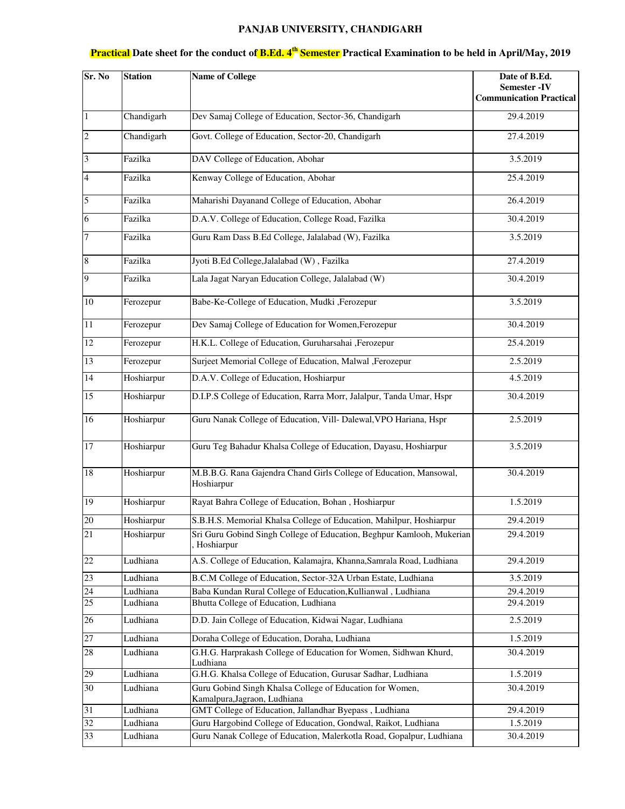## **PANJAB UNIVERSITY, CHANDIGARH**

| Sr. No          | Station    | <b>Name of College</b>                                                                 | Date of B.Ed.<br><b>Semester-IV</b><br><b>Communication Practical</b> |
|-----------------|------------|----------------------------------------------------------------------------------------|-----------------------------------------------------------------------|
| $\mathbf{1}$    | Chandigarh | Dev Samaj College of Education, Sector-36, Chandigarh                                  | 29.4.2019                                                             |
| $\sqrt{2}$      | Chandigarh | Govt. College of Education, Sector-20, Chandigarh                                      | 27.4.2019                                                             |
| $\overline{3}$  | Fazilka    | DAV College of Education, Abohar                                                       | 3.5.2019                                                              |
| $\overline{4}$  | Fazilka    | Kenway College of Education, Abohar                                                    | 25.4.2019                                                             |
| 5               | Fazilka    | Maharishi Dayanand College of Education, Abohar                                        | 26.4.2019                                                             |
| 6               | Fazilka    | D.A.V. College of Education, College Road, Fazilka                                     | 30.4.2019                                                             |
| $\overline{7}$  | Fazilka    | Guru Ram Dass B.Ed College, Jalalabad (W), Fazilka                                     | 3.5.2019                                                              |
| $\bf 8$         | Fazilka    | Jyoti B.Ed College, Jalalabad (W), Fazilka                                             | 27.4.2019                                                             |
| 9               | Fazilka    | Lala Jagat Naryan Education College, Jalalabad (W)                                     | 30.4.2019                                                             |
| $10\,$          | Ferozepur  | Babe-Ke-College of Education, Mudki ,Ferozepur                                         | 3.5.2019                                                              |
| 11              | Ferozepur  | Dev Samaj College of Education for Women, Ferozepur                                    | 30.4.2019                                                             |
| 12              | Ferozepur  | H.K.L. College of Education, Guruharsahai , Ferozepur                                  | 25.4.2019                                                             |
| 13              | Ferozepur  | Surjeet Memorial College of Education, Malwal , Ferozepur                              | 2.5.2019                                                              |
| 14              | Hoshiarpur | D.A.V. College of Education, Hoshiarpur                                                | 4.5.2019                                                              |
| 15              | Hoshiarpur | D.I.P.S College of Education, Rarra Morr, Jalalpur, Tanda Umar, Hspr                   | 30.4.2019                                                             |
| 16              | Hoshiarpur | Guru Nanak College of Education, Vill- Dalewal, VPO Hariana, Hspr                      | 2.5.2019                                                              |
| 17              | Hoshiarpur | Guru Teg Bahadur Khalsa College of Education, Dayasu, Hoshiarpur                       | 3.5.2019                                                              |
| 18              | Hoshiarpur | M.B.B.G. Rana Gajendra Chand Girls College of Education, Mansowal,<br>Hoshiarpur       | 30.4.2019                                                             |
| 19              | Hoshiarpur | Rayat Bahra College of Education, Bohan, Hoshiarpur                                    | 1.5.2019                                                              |
| 20              | Hoshiarpur | S.B.H.S. Memorial Khalsa College of Education, Mahilpur, Hoshiarpur                    | 29.4.2019                                                             |
| $\overline{21}$ | Hoshiarpur | Sri Guru Gobind Singh College of Education, Beghpur Kamlooh, Mukerian<br>, Hoshiarpur  | 29.4.2019                                                             |
| 22              | Ludhiana   | A.S. College of Education, Kalamajra, Khanna, Samrala Road, Ludhiana                   | 29.4.2019                                                             |
| 23              | Ludhiana   | B.C.M College of Education, Sector-32A Urban Estate, Ludhiana                          | 3.5.2019                                                              |
| 24              | Ludhiana   | Baba Kundan Rural College of Education, Kullianwal, Ludhiana                           | 29.4.2019                                                             |
| 25              | Ludhiana   | Bhutta College of Education, Ludhiana                                                  | 29.4.2019                                                             |
| 26              | Ludhiana   | D.D. Jain College of Education, Kidwai Nagar, Ludhiana                                 | 2.5.2019                                                              |
| $27\,$          | Ludhiana   | Doraha College of Education, Doraha, Ludhiana                                          | 1.5.2019                                                              |
| 28              | Ludhiana   | G.H.G. Harprakash College of Education for Women, Sidhwan Khurd,<br>Ludhiana           | 30.4.2019                                                             |
| 29              | Ludhiana   | G.H.G. Khalsa College of Education, Gurusar Sadhar, Ludhiana                           | 1.5.2019                                                              |
| 30              | Ludhiana   | Guru Gobind Singh Khalsa College of Education for Women,                               | 30.4.2019                                                             |
| 31              | Ludhiana   | Kamalpura, Jagraon, Ludhiana<br>GMT College of Education, Jallandhar Byepass, Ludhiana | 29.4.2019                                                             |
| $32\,$          | Ludhiana   | Guru Hargobind College of Education, Gondwal, Raikot, Ludhiana                         | 1.5.2019                                                              |
| 33              | Ludhiana   | Guru Nanak College of Education, Malerkotla Road, Gopalpur, Ludhiana                   | 30.4.2019                                                             |

## **Practical Date sheet for the conduct of B.Ed. 4th Semester Practical Examination to be held in April/May, 2019**